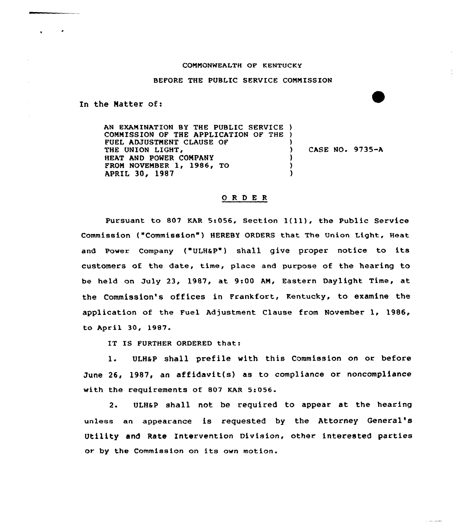## COMMONWEALTH OF KENTUCKY

## BEFORE THE PUBLIC SERVICE COMMISSION

In the Natter of:

AN EXAMINATION BY THE PUBLIC SERUICE ) COMMISSION OF THE APPLICATION OF THE ) FUEL ADJUSTMEMT CLAUSE OF ) THE UNION LIGHT, ) CASE NO. 9735-A HEAT AMD PONER CONPAMY FROM NOVEMBER 1, 1986, TO  $\lambda$ APRIL 30, 1987 )

## ORDER

Pursuant to <sup>807</sup> KAR 5:056. Section l(ll), the Public Service Commission ("Commission") HEREBY ORDERS that The Union Light, Heat and Power Company ("ULH&P") shall give proper notice to its customers of the date, time, place and purpose of the hearing to be held on July 23, 1987, at 9:00 AM, Eastern Daylight Time, at the Commission's offices in Frankfort, Kentucky, to examine the application of the Fuel Adjustment Clause from November 1, 1986, to April 30, 1987.

IT IS FURTHER ORDERED that:

1. ULH&P shall prefile with this Commission on or before June 26, 1987, an affidavit(s) as to compliance or noncompliance with the requirements of 807 KAR 5:056.

2. ULHaP shall not be required to appear at the hearing unless an appearance is requested by the Attorney General' Utility and Rate Intervention Division, other interested parties or by the Commission an its own motion.

فتستعدد والمساور